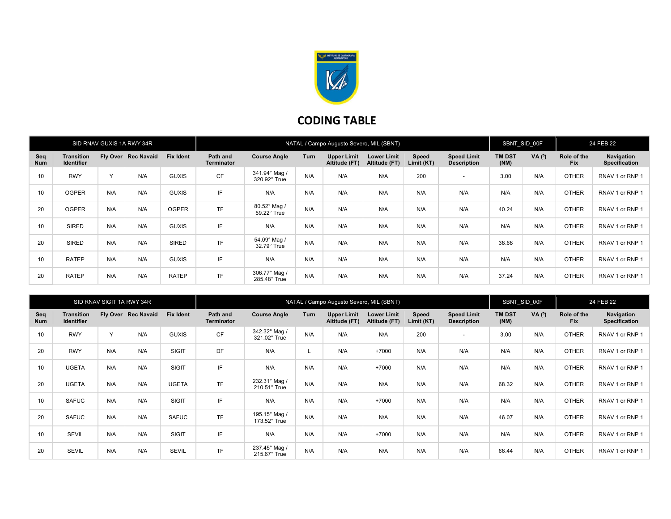

## CODING TABLE

| SID RNAV GUXIS 1A RWY 34R |                                        |           |                     |                  | NATAL / Campo Augusto Severo, MIL (SBNT) |                               |      |                                     |                                     |                     |                                          | SBNT SID 00F          |        | 24 FEB 22                 |                                    |
|---------------------------|----------------------------------------|-----------|---------------------|------------------|------------------------------------------|-------------------------------|------|-------------------------------------|-------------------------------------|---------------------|------------------------------------------|-----------------------|--------|---------------------------|------------------------------------|
| Seq<br><b>Num</b>         | <b>Transition</b><br><b>Identifier</b> |           | Fly Over Rec Navaid | <b>Fix Ident</b> | Path and<br>Terminator                   | <b>Course Angle</b>           | Turn | <b>Upper Limit</b><br>Altitude (FT) | <b>Lower Limit</b><br>Altitude (FT) | Speed<br>Limit (KT) | <b>Speed Limit</b><br><b>Description</b> | <b>TM DST</b><br>(NM) | VA (°) | Role of the<br><b>Fix</b> | Navigation<br><b>Specification</b> |
| 10                        | <b>RWY</b>                             | $\sqrt{}$ | N/A                 | <b>GUXIS</b>     | <b>CF</b>                                | 341.94° Mag<br>320.92° True   | N/A  | N/A                                 | N/A                                 | 200                 | $\overline{\phantom{0}}$                 | 3.00                  | N/A    | <b>OTHER</b>              | RNAV 1 or RNP 1                    |
| 10                        | <b>OGPER</b>                           | N/A       | N/A                 | <b>GUXIS</b>     | IF                                       | N/A                           | N/A  | N/A                                 | N/A                                 | N/A                 | N/A                                      | N/A                   | N/A    | <b>OTHER</b>              | RNAV 1 or RNP 1                    |
| 20                        | <b>OGPER</b>                           | N/A       | N/A                 | <b>OGPER</b>     | <b>TF</b>                                | 80.52° Mag /<br>59.22° True   | N/A  | N/A                                 | N/A                                 | N/A                 | N/A                                      | 40.24                 | N/A    | <b>OTHER</b>              | RNAV 1 or RNP 1                    |
| 10                        | <b>SIRED</b>                           | N/A       | N/A                 | <b>GUXIS</b>     | IF                                       | N/A                           | N/A  | N/A                                 | N/A                                 | N/A                 | N/A                                      | N/A                   | N/A    | <b>OTHER</b>              | RNAV 1 or RNP 1                    |
| 20                        | <b>SIRED</b>                           | N/A       | N/A                 | <b>SIRED</b>     | <b>TF</b>                                | 54.09° Mag /<br>32.79° True   | N/A  | N/A                                 | N/A                                 | N/A                 | N/A                                      | 38.68                 | N/A    | <b>OTHER</b>              | RNAV 1 or RNP 1                    |
| 10                        | <b>RATEP</b>                           | N/A       | N/A                 | <b>GUXIS</b>     | IF                                       | N/A                           | N/A  | N/A                                 | N/A                                 | N/A                 | N/A                                      | N/A                   | N/A    | <b>OTHER</b>              | RNAV 1 or RNP 1                    |
| 20                        | <b>RATEP</b>                           | N/A       | N/A                 | <b>RATEP</b>     | <b>TF</b>                                | 306.77° Mag /<br>285.48° True | N/A  | N/A                                 | N/A                                 | N/A                 | N/A                                      | 37.24                 | N/A    | <b>OTHER</b>              | RNAV 1 or RNP 1                    |

| SID RNAV SIGIT 1A RWY 34R |                                        |              |                     |                  | NATAL / Campo Augusto Severo, MIL (SBNT) |                               |      |                                     |                                     |                     |                                          | SBNT SID 00F          |                | 24 FEB 22                 |                             |
|---------------------------|----------------------------------------|--------------|---------------------|------------------|------------------------------------------|-------------------------------|------|-------------------------------------|-------------------------------------|---------------------|------------------------------------------|-----------------------|----------------|---------------------------|-----------------------------|
| Seq<br>Num                | <b>Transition</b><br><b>Identifier</b> |              | Fly Over Rec Navaid | <b>Fix Ident</b> | Path and<br><b>Terminator</b>            | <b>Course Angle</b>           | Turn | <b>Upper Limit</b><br>Altitude (FT) | <b>Lower Limit</b><br>Altitude (FT) | Speed<br>Limit (KT) | <b>Speed Limit</b><br><b>Description</b> | <b>TM DST</b><br>(NM) | $VA(^{\circ})$ | Role of the<br><b>Fix</b> | Navigation<br>Specification |
| 10                        | <b>RWY</b>                             | $\checkmark$ | N/A                 | <b>GUXIS</b>     | <b>CF</b>                                | 342.32° Mag /<br>321.02° True | N/A  | N/A                                 | N/A                                 | 200                 | $\overline{\phantom{a}}$                 | 3.00                  | N/A            | <b>OTHER</b>              | RNAV 1 or RNP 1             |
| 20                        | <b>RWY</b>                             | N/A          | N/A                 | SIGIT            | DF                                       | N/A                           |      | N/A                                 | $+7000$                             | N/A                 | N/A                                      | N/A                   | N/A            | <b>OTHER</b>              | RNAV 1 or RNP 1             |
| 10                        | <b>UGETA</b>                           | N/A          | N/A                 | <b>SIGIT</b>     | IF                                       | N/A                           | N/A  | N/A                                 | $+7000$                             | N/A                 | N/A                                      | N/A                   | N/A            | <b>OTHER</b>              | RNAV 1 or RNP 1             |
| 20                        | <b>UGETA</b>                           | N/A          | N/A                 | <b>UGETA</b>     | <b>TF</b>                                | 232.31° Mag /<br>210.51° True | N/A  | N/A                                 | N/A                                 | N/A                 | N/A                                      | 68.32                 | N/A            | <b>OTHER</b>              | RNAV 1 or RNP 1             |
| 10                        | <b>SAFUC</b>                           | N/A          | N/A                 | SIGIT            | IF                                       | N/A                           | N/A  | N/A                                 | $+7000$                             | N/A                 | N/A                                      | N/A                   | N/A            | <b>OTHER</b>              | RNAV 1 or RNP 1             |
| 20                        | <b>SAFUC</b>                           | N/A          | N/A                 | <b>SAFUC</b>     | <b>TF</b>                                | 195.15° Mag /<br>173.52° True | N/A  | N/A                                 | N/A                                 | N/A                 | N/A                                      | 46.07                 | N/A            | <b>OTHER</b>              | RNAV 1 or RNP 1             |
| 10                        | <b>SEVIL</b>                           | N/A          | N/A                 | <b>SIGIT</b>     | IF                                       | N/A                           | N/A  | N/A                                 | $+7000$                             | N/A                 | N/A                                      | N/A                   | N/A            | <b>OTHER</b>              | RNAV 1 or RNP 1             |
| 20                        | <b>SEVIL</b>                           | N/A          | N/A                 | <b>SEVIL</b>     | <b>TF</b>                                | 237.45° Mag /<br>215.67° True | N/A  | N/A                                 | N/A                                 | N/A                 | N/A                                      | 66.44                 | N/A            | <b>OTHER</b>              | RNAV 1 or RNP 1             |